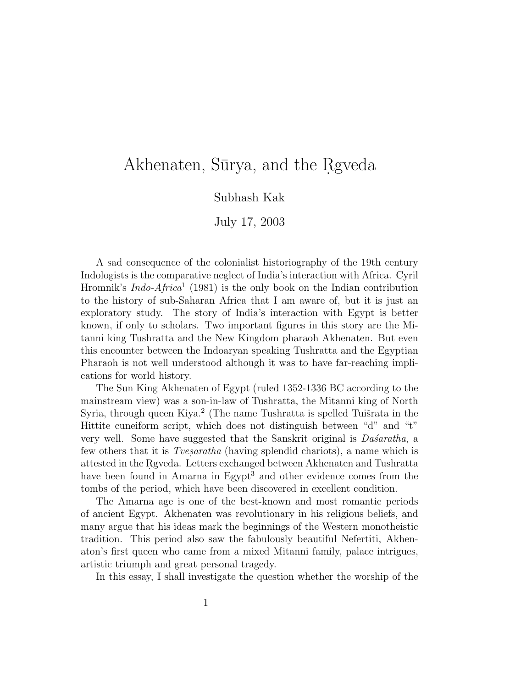# Akhenaten, Sūrya, and the Rgveda

Subhash Kak

July 17, 2003

A sad consequence of the colonialist historiography of the 19th century Indologists is the comparative neglect of India's interaction with Africa. Cyril Hromnik's *Indo-Africa*<sup>1</sup> (1981) is the only book on the Indian contribution to the history of sub-Saharan Africa that I am aware of, but it is just an exploratory study. The story of India's interaction with Egypt is better known, if only to scholars. Two important figures in this story are the Mitanni king Tushratta and the New Kingdom pharaoh Akhenaten. But even this encounter between the Indoaryan speaking Tushratta and the Egyptian Pharaoh is not well understood although it was to have far-reaching implications for world history.

The Sun King Akhenaten of Egypt (ruled 1352-1336 BC according to the mainstream view) was a son-in-law of Tushratta, the Mitanni king of North Syria, through queen Kiya.<sup>2</sup> (The name Tushratta is spelled Tuišrata in the Hittite cuneiform script, which does not distinguish between "d" and "t" very well. Some have suggested that the Sanskrit original is  $Da\acute{s}aratha$ , a few others that it is *Tvesaratha* (having splendid chariots), a name which is attested in the Rgyeda. Letters exchanged between Akhenaten and Tushratta have been found in Amarna in Egypt<sup>3</sup> and other evidence comes from the tombs of the period, which have been discovered in excellent condition.

The Amarna age is one of the best-known and most romantic periods of ancient Egypt. Akhenaten was revolutionary in his religious beliefs, and many argue that his ideas mark the beginnings of the Western monotheistic tradition. This period also saw the fabulously beautiful Nefertiti, Akhenaton's first queen who came from a mixed Mitanni family, palace intrigues, artistic triumph and great personal tragedy.

In this essay, I shall investigate the question whether the worship of the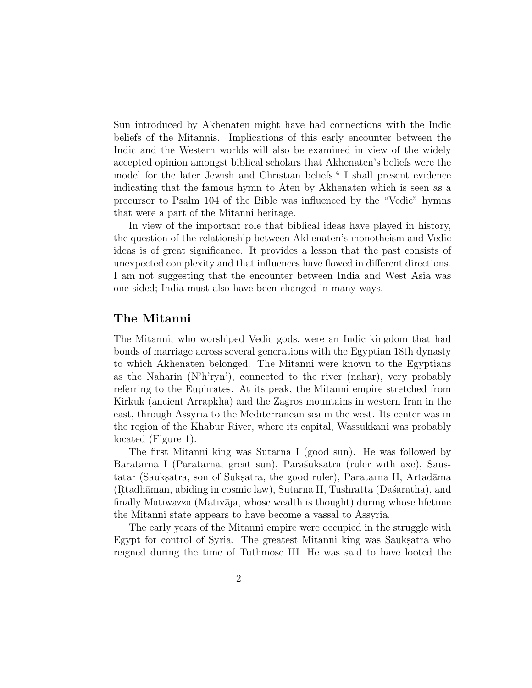Sun introduced by Akhenaten might have had connections with the Indic beliefs of the Mitannis. Implications of this early encounter between the Indic and the Western worlds will also be examined in view of the widely accepted opinion amongst biblical scholars that Akhenaten's beliefs were the model for the later Jewish and Christian beliefs.<sup>4</sup> I shall present evidence indicating that the famous hymn to Aten by Akhenaten which is seen as a precursor to Psalm 104 of the Bible was influenced by the "Vedic" hymns that were a part of the Mitanni heritage.

In view of the important role that biblical ideas have played in history, the question of the relationship between Akhenaten's monotheism and Vedic ideas is of great significance. It provides a lesson that the past consists of unexpected complexity and that influences have flowed in different directions. I am not suggesting that the encounter between India and West Asia was one-sided; India must also have been changed in many ways.

#### **The Mitanni**

The Mitanni, who worshiped Vedic gods, were an Indic kingdom that had bonds of marriage across several generations with the Egyptian 18th dynasty to which Akhenaten belonged. The Mitanni were known to the Egyptians as the Naharin (N'h'ryn'), connected to the river (nahar), very probably referring to the Euphrates. At its peak, the Mitanni empire stretched from Kirkuk (ancient Arrapkha) and the Zagros mountains in western Iran in the east, through Assyria to the Mediterranean sea in the west. Its center was in the region of the Khabur River, where its capital, Wassukkani was probably located (Figure 1).

The first Mitanni king was Sutarna I (good sun). He was followed by Baratarna I (Paratarna, great sun), Paras´ukṣatra (ruler with axe), Saustatar (Sauksatra, son of Suksatra, the good ruler), Paratarna II, Artadāma (R. tadh¯aman, abiding in cosmic law), Sutarna II, Tushratta (Da´saratha), and finally Matiwazza (Mativāja, whose wealth is thought) during whose lifetime the Mitanni state appears to have become a vassal to Assyria.

The early years of the Mitanni empire were occupied in the struggle with Egypt for control of Syria. The greatest Mitanni king was Sauks, at who reigned during the time of Tuthmose III. He was said to have looted the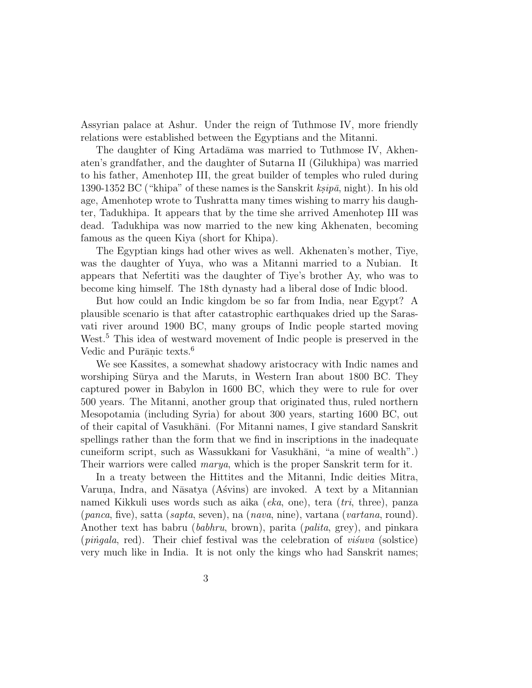Assyrian palace at Ashur. Under the reign of Tuthmose IV, more friendly relations were established between the Egyptians and the Mitanni.

The daughter of King Artadāma was married to Tuthmose IV, Akhenaten's grandfather, and the daughter of Sutarna II (Gilukhipa) was married to his father, Amenhotep III, the great builder of temples who ruled during 1390-1352 BC ("khipa" of these names is the Sanskrit  $ksip\bar{a}$ , night). In his old age, Amenhotep wrote to Tushratta many times wishing to marry his daughter, Tadukhipa. It appears that by the time she arrived Amenhotep III was dead. Tadukhipa was now married to the new king Akhenaten, becoming famous as the queen Kiya (short for Khipa).

The Egyptian kings had other wives as well. Akhenaten's mother, Tiye, was the daughter of Yuya, who was a Mitanni married to a Nubian. It appears that Nefertiti was the daughter of Tiye's brother Ay, who was to become king himself. The 18th dynasty had a liberal dose of Indic blood.

But how could an Indic kingdom be so far from India, near Egypt? A plausible scenario is that after catastrophic earthquakes dried up the Sarasvati river around 1900 BC, many groups of Indic people started moving West.<sup>5</sup> This idea of westward movement of Indic people is preserved in the Vedic and Purānic texts.<sup>6</sup>

We see Kassites, a somewhat shadowy aristocracy with Indic names and worshiping Sūrya and the Maruts, in Western Iran about 1800 BC. They captured power in Babylon in 1600 BC, which they were to rule for over 500 years. The Mitanni, another group that originated thus, ruled northern Mesopotamia (including Syria) for about 300 years, starting 1600 BC, out of their capital of Vasukhāni. (For Mitanni names, I give standard Sanskrit spellings rather than the form that we find in inscriptions in the inadequate cuneiform script, such as Wassukkani for Vasukhāni, "a mine of wealth".) Their warriors were called marya, which is the proper Sanskrit term for it.

In a treaty between the Hittites and the Mitanni, Indic deities Mitra, Varuna, Indra, and Nāsatya (Asvins) are invoked. A text by a Mitannian named Kikkuli uses words such as aika (eka, one), tera (tri, three), panza (panca, five), satta (sapta, seven), na (nava, nine), vartana (vartana, round). Another text has babru (babhru, brown), parita (palita, grey), and pinkara  $(p\rangle$ ingala, red). Their chief festival was the celebration of visuva (solstice) very much like in India. It is not only the kings who had Sanskrit names;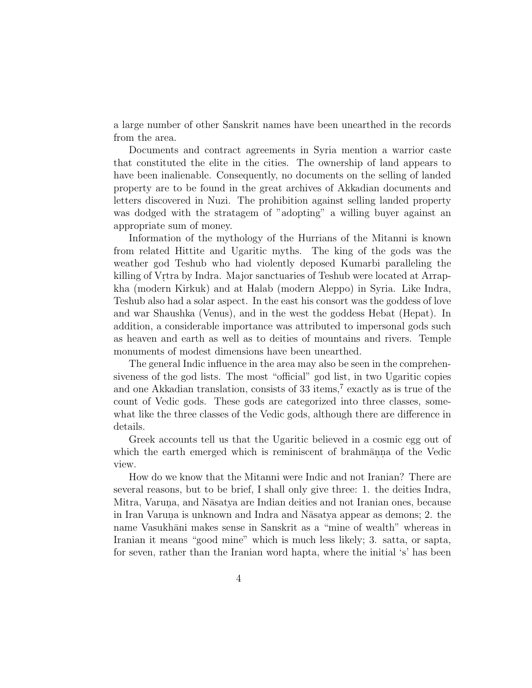a large number of other Sanskrit names have been unearthed in the records from the area.

Documents and contract agreements in Syria mention a warrior caste that constituted the elite in the cities. The ownership of land appears to have been inalienable. Consequently, no documents on the selling of landed property are to be found in the great archives of Akkadian documents and letters discovered in Nuzi. The prohibition against selling landed property was dodged with the stratagem of "adopting" a willing buyer against an appropriate sum of money.

Information of the mythology of the Hurrians of the Mitanni is known from related Hittite and Ugaritic myths. The king of the gods was the weather god Teshub who had violently deposed Kumarbi paralleling the killing of Vrtra by Indra. Major sanctuaries of Teshub were located at Arrapkha (modern Kirkuk) and at Halab (modern Aleppo) in Syria. Like Indra, Teshub also had a solar aspect. In the east his consort was the goddess of love and war Shaushka (Venus), and in the west the goddess Hebat (Hepat). In addition, a considerable importance was attributed to impersonal gods such as heaven and earth as well as to deities of mountains and rivers. Temple monuments of modest dimensions have been unearthed.

The general Indic influence in the area may also be seen in the comprehensiveness of the god lists. The most "official" god list, in two Ugaritic copies and one Akkadian translation, consists of 33 items,<sup>7</sup> exactly as is true of the count of Vedic gods. These gods are categorized into three classes, somewhat like the three classes of the Vedic gods, although there are difference in details.

Greek accounts tell us that the Ugaritic believed in a cosmic egg out of which the earth emerged which is reminiscent of brahman.na of the Vedic view.

How do we know that the Mitanni were Indic and not Iranian? There are several reasons, but to be brief, I shall only give three: 1. the deities Indra, Mitra, Varuna, and Nāsatya are Indian deities and not Iranian ones, because in Iran Varuna is unknown and Indra and Nāsatya appear as demons; 2. the name Vasukhāni makes sense in Sanskrit as a "mine of wealth" whereas in Iranian it means "good mine" which is much less likely; 3. satta, or sapta, for seven, rather than the Iranian word hapta, where the initial 's' has been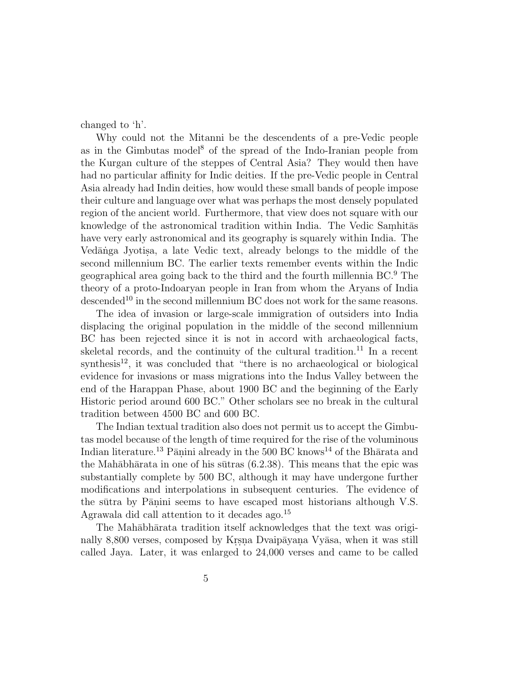changed to 'h'.

Why could not the Mitanni be the descendents of a pre-Vedic people as in the Gimbutas model<sup>8</sup> of the spread of the Indo-Iranian people from the Kurgan culture of the steppes of Central Asia? They would then have had no particular affinity for Indic deities. If the pre-Vedic people in Central Asia already had Indin deities, how would these small bands of people impose their culture and language over what was perhaps the most densely populated region of the ancient world. Furthermore, that view does not square with our knowledge of the astronomical tradition within India. The Vedic Samhitas have very early astronomical and its geography is squarely within India. The Vedānga Jyotisa, a late Vedic text, already belongs to the middle of the second millennium BC. The earlier texts remember events within the Indic geographical area going back to the third and the fourth millennia BC.<sup>9</sup> The theory of a proto-Indoaryan people in Iran from whom the Aryans of India descended<sup>10</sup> in the second millennium BC does not work for the same reasons.

The idea of invasion or large-scale immigration of outsiders into India displacing the original population in the middle of the second millennium BC has been rejected since it is not in accord with archaeological facts, skeletal records, and the continuity of the cultural tradition.<sup>11</sup> In a recent  $s$ ynthesis<sup>12</sup>, it was concluded that "there is no archaeological or biological evidence for invasions or mass migrations into the Indus Valley between the end of the Harappan Phase, about 1900 BC and the beginning of the Early Historic period around 600 BC." Other scholars see no break in the cultural tradition between 4500 BC and 600 BC.

The Indian textual tradition also does not permit us to accept the Gimbutas model because of the length of time required for the rise of the voluminous Indian literature.<sup>13</sup> Pānini already in the 500 BC knows<sup>14</sup> of the Bhārata and the Mah $\bar{a}$ bhārata in one of his sūtras (6.2.38). This means that the epic was substantially complete by 500 BC, although it may have undergone further modifications and interpolations in subsequent centuries. The evidence of the sūtra by Pāṇini seems to have escaped most historians although V.S. Agrawala did call attention to it decades ago.<sup>15</sup>

The Mahābhārata tradition itself acknowledges that the text was originally 8,800 verses, composed by Kr.s.n. Dvaip $\bar{a}$ yana Vy $\bar{a}$ sa, when it was still called Jaya. Later, it was enlarged to 24,000 verses and came to be called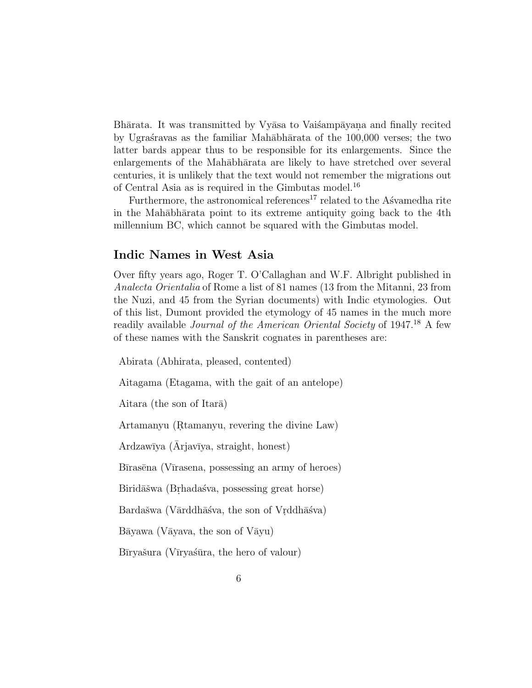Bhārata. It was transmitted by Vyāsa to Vaisampāyana and finally recited by Ugrastravas as the familiar Mahābhārata of the 100,000 verses; the two latter bards appear thus to be responsible for its enlargements. Since the enlargements of the Mah $\bar{a}$ bh $\bar{a}$ rata are likely to have stretched over several centuries, it is unlikely that the text would not remember the migrations out of Central Asia as is required in the Gimbutas model.<sup>16</sup>

Furthermore, the astronomical references<sup>17</sup> related to the Asvamedha rite in the Mahābhārata point to its extreme antiquity going back to the 4th millennium BC, which cannot be squared with the Gimbutas model.

# **Indic Names in West Asia**

Over fifty years ago, Roger T. O'Callaghan and W.F. Albright published in Analecta Orientalia of Rome a list of 81 names (13 from the Mitanni, 23 from the Nuzi, and 45 from the Syrian documents) with Indic etymologies. Out of this list, Dumont provided the etymology of 45 names in the much more readily available Journal of the American Oriental Society of 1947.<sup>18</sup> A few of these names with the Sanskrit cognates in parentheses are:

Abirata (Abhirata, pleased, contented)

Aitagama (Etagama, with the gait of an antelope)

Aitara (the son of Itara)

Artamanyu (Rtamanyu, revering the divine Law)

Ardzawīya (Arjavīya, straight, honest)

Bīrasēna (Vīrasena, possessing an army of heroes)

Biridāšwa (Brhadaśva, possessing great horse)

Bardašwa (Vārddhāśva, the son of Vrddhāśva)

 $B\bar{a}y$ awa (V $\bar{a}y$ ava, the son of V $\bar{a}y$ u)

Bīryašura (Vīryaśūra, the hero of valour)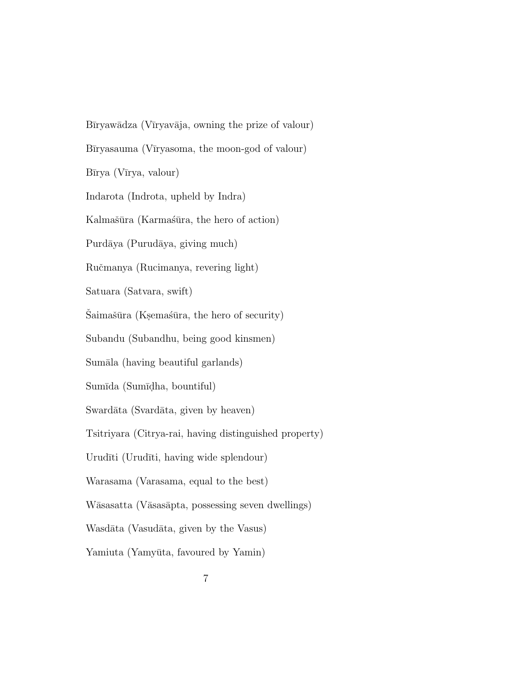Bīryawādza (Vīryavāja, owning the prize of valour) Bīryasauma (Vīryasoma, the moon-god of valour) Bīrya (Vīrya, valour) Indarota (Indrota, upheld by Indra) Kalmašūra (Karmaśūra, the hero of action) Purdāya (Purudāya, giving much) Ruˇcmanya (Rucimanya, revering light) Satuara (Satvara, swift) Šaimašūra (Ksemaśūra, the hero of security) Subandu (Subandhu, being good kinsmen) Sumāla (having beautiful garlands) Sumīda (Sumīdha, bountiful) Swardāta (Svardāta, given by heaven) Tsitriyara (Citrya-rai, having distinguished property) Urudīti (Urudīti, having wide splendour) Warasama (Varasama, equal to the best) Wāsasatta (Vāsasāpta, possessing seven dwellings) Wasdāta (Vasudāta, given by the Vasus) Yamiuta (Yamyūta, favoured by Yamin)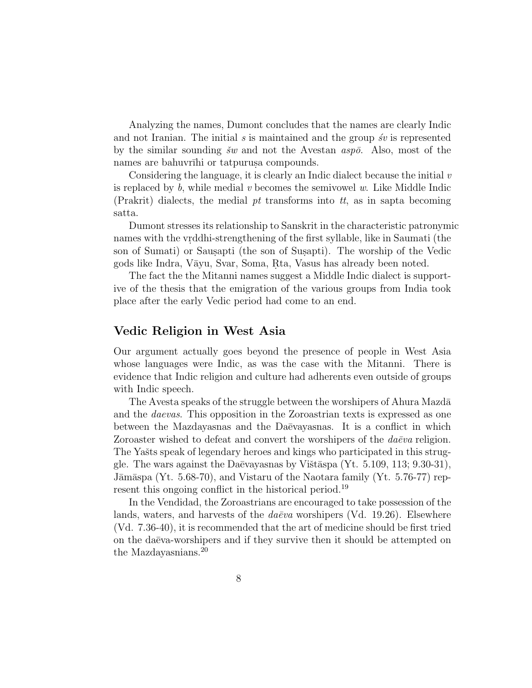Analyzing the names, Dumont concludes that the names are clearly Indic and not Iranian. The initial  $s$  is maintained and the group  $\delta v$  is represented by the similar sounding  $\check{s}w$  and not the Avestan  $asp\bar{o}$ . Also, most of the names are bahuvrīhi or tatpurus acompounds.

Considering the language, it is clearly an Indic dialect because the initial  $v$ is replaced by  $b$ , while medial v becomes the semivowel w. Like Middle Indic (Prakrit) dialects, the medial  $pt$  transforms into  $tt$ , as in sapta becoming satta.

Dumont stresses its relationship to Sanskrit in the characteristic patronymic names with the vrddhi-strengthening of the first syllable, like in Saumati (the son of Sumati) or Sausapti (the son of Susapti). The worship of the Vedic gods like Indra, Vāyu, Svar, Soma, Rta, Vasus has already been noted.

The fact the the Mitanni names suggest a Middle Indic dialect is supportive of the thesis that the emigration of the various groups from India took place after the early Vedic period had come to an end.

# **Vedic Religion in West Asia**

Our argument actually goes beyond the presence of people in West Asia whose languages were Indic, as was the case with the Mitanni. There is evidence that Indic religion and culture had adherents even outside of groups with Indic speech.

The Avesta speaks of the struggle between the worshipers of Ahura Mazda and the daevas. This opposition in the Zoroastrian texts is expressed as one between the Mazdayasnas and the Da $\bar{e}$ vayasnas. It is a conflict in which Zoroaster wished to defeat and convert the worshipers of the  $da\bar{e}va$  religion. The Yašts speak of legendary heroes and kings who participated in this struggle. The wars against the Daēvayasnas by Vištāspa (Yt. 5.109, 113; 9.30-31), Jāmāspa (Yt.  $5.68-70$ ), and Vistaru of the Naotara family (Yt.  $5.76-77$ ) represent this ongoing conflict in the historical period.<sup>19</sup>

In the Vendidad, the Zoroastrians are encouraged to take possession of the lands, waters, and harvests of the  $da\bar{e}va$  worshipers (Vd. 19.26). Elsewhere (Vd. 7.36-40), it is recommended that the art of medicine should be first tried on the daēva-worshipers and if they survive then it should be attempted on the Mazdayasnians.<sup>20</sup>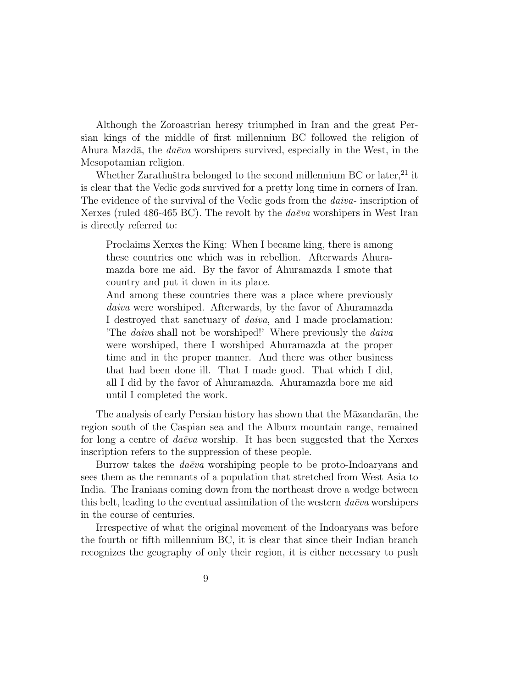Although the Zoroastrian heresy triumphed in Iran and the great Persian kings of the middle of first millennium BC followed the religion of Ahura Mazdā, the  $da\bar{e}va$  worshipers survived, especially in the West, in the Mesopotamian religion.

Whether Zarathuštra belonged to the second millennium BC or later,  $21$  it is clear that the Vedic gods survived for a pretty long time in corners of Iran. The evidence of the survival of the Vedic gods from the *daiva*- inscription of Xerxes (ruled 486-465 BC). The revolt by the  $da\bar{e}va$  worshipers in West Iran is directly referred to:

Proclaims Xerxes the King: When I became king, there is among these countries one which was in rebellion. Afterwards Ahuramazda bore me aid. By the favor of Ahuramazda I smote that country and put it down in its place.

And among these countries there was a place where previously daiva were worshiped. Afterwards, by the favor of Ahuramazda I destroyed that sanctuary of daiva, and I made proclamation: 'The daiva shall not be worshiped!' Where previously the daiva were worshiped, there I worshiped Ahuramazda at the proper time and in the proper manner. And there was other business that had been done ill. That I made good. That which I did, all I did by the favor of Ahuramazda. Ahuramazda bore me aid until I completed the work.

The analysis of early Persian history has shown that the Māzandarān, the region south of the Caspian sea and the Alburz mountain range, remained for long a centre of  $da\bar{e}v$  worship. It has been suggested that the Xerxes inscription refers to the suppression of these people.

Burrow takes the  $da\bar{e}va$  worshiping people to be proto-Indoaryans and sees them as the remnants of a population that stretched from West Asia to India. The Iranians coming down from the northeast drove a wedge between this belt, leading to the eventual assimilation of the western  $da\bar{e}va$  worshipers in the course of centuries.

Irrespective of what the original movement of the Indoaryans was before the fourth or fifth millennium BC, it is clear that since their Indian branch recognizes the geography of only their region, it is either necessary to push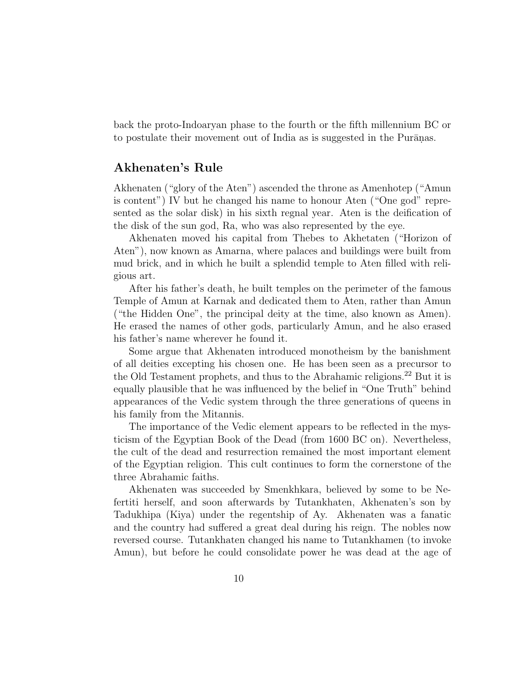back the proto-Indoaryan phase to the fourth or the fifth millennium BC or to postulate their movement out of India as is suggested in the Purānas.

# **Akhenaten's Rule**

Akhenaten ("glory of the Aten") ascended the throne as Amenhotep ("Amun is content") IV but he changed his name to honour Aten ("One god" represented as the solar disk) in his sixth regnal year. Aten is the deification of the disk of the sun god, Ra, who was also represented by the eye.

Akhenaten moved his capital from Thebes to Akhetaten ("Horizon of Aten"), now known as Amarna, where palaces and buildings were built from mud brick, and in which he built a splendid temple to Aten filled with religious art.

After his father's death, he built temples on the perimeter of the famous Temple of Amun at Karnak and dedicated them to Aten, rather than Amun ("the Hidden One", the principal deity at the time, also known as Amen). He erased the names of other gods, particularly Amun, and he also erased his father's name wherever he found it.

Some argue that Akhenaten introduced monotheism by the banishment of all deities excepting his chosen one. He has been seen as a precursor to the Old Testament prophets, and thus to the Abrahamic religions.<sup>22</sup> But it is equally plausible that he was influenced by the belief in "One Truth" behind appearances of the Vedic system through the three generations of queens in his family from the Mitannis.

The importance of the Vedic element appears to be reflected in the mysticism of the Egyptian Book of the Dead (from 1600 BC on). Nevertheless, the cult of the dead and resurrection remained the most important element of the Egyptian religion. This cult continues to form the cornerstone of the three Abrahamic faiths.

Akhenaten was succeeded by Smenkhkara, believed by some to be Nefertiti herself, and soon afterwards by Tutankhaten, Akhenaten's son by Tadukhipa (Kiya) under the regentship of Ay. Akhenaten was a fanatic and the country had suffered a great deal during his reign. The nobles now reversed course. Tutankhaten changed his name to Tutankhamen (to invoke Amun), but before he could consolidate power he was dead at the age of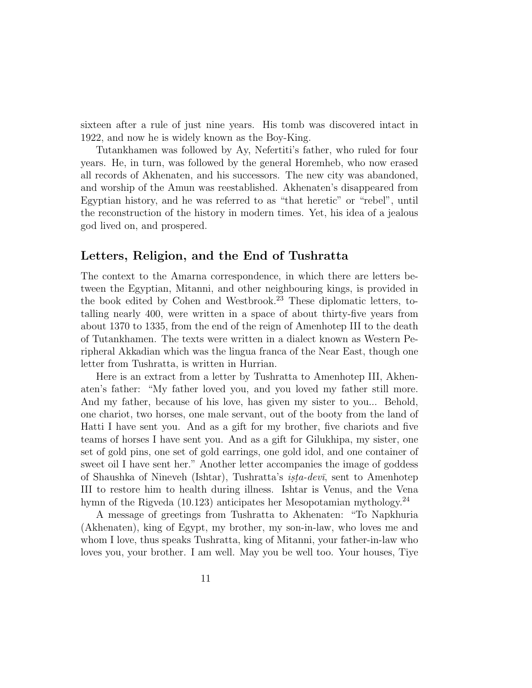sixteen after a rule of just nine years. His tomb was discovered intact in 1922, and now he is widely known as the Boy-King.

Tutankhamen was followed by Ay, Nefertiti's father, who ruled for four years. He, in turn, was followed by the general Horemheb, who now erased all records of Akhenaten, and his successors. The new city was abandoned, and worship of the Amun was reestablished. Akhenaten's disappeared from Egyptian history, and he was referred to as "that heretic" or "rebel", until the reconstruction of the history in modern times. Yet, his idea of a jealous god lived on, and prospered.

#### **Letters, Religion, and the End of Tushratta**

The context to the Amarna correspondence, in which there are letters between the Egyptian, Mitanni, and other neighbouring kings, is provided in the book edited by Cohen and Westbrook.<sup>23</sup> These diplomatic letters, totalling nearly 400, were written in a space of about thirty-five years from about 1370 to 1335, from the end of the reign of Amenhotep III to the death of Tutankhamen. The texts were written in a dialect known as Western Peripheral Akkadian which was the lingua franca of the Near East, though one letter from Tushratta, is written in Hurrian.

Here is an extract from a letter by Tushratta to Amenhotep III, Akhenaten's father: "My father loved you, and you loved my father still more. And my father, because of his love, has given my sister to you... Behold, one chariot, two horses, one male servant, out of the booty from the land of Hatti I have sent you. And as a gift for my brother, five chariots and five teams of horses I have sent you. And as a gift for Gilukhipa, my sister, one set of gold pins, one set of gold earrings, one gold idol, and one container of sweet oil I have sent her." Another letter accompanies the image of goddess of Shaushka of Nineveh (Ishtar), Tushratta's  $i$ sta-dev $\bar{i}$ , sent to Amenhotep III to restore him to health during illness. Ishtar is Venus, and the Vena hymn of the Rigveda (10.123) anticipates her Mesopotamian mythology.<sup>24</sup>

A message of greetings from Tushratta to Akhenaten: "To Napkhuria (Akhenaten), king of Egypt, my brother, my son-in-law, who loves me and whom I love, thus speaks Tushratta, king of Mitanni, your father-in-law who loves you, your brother. I am well. May you be well too. Your houses, Tiye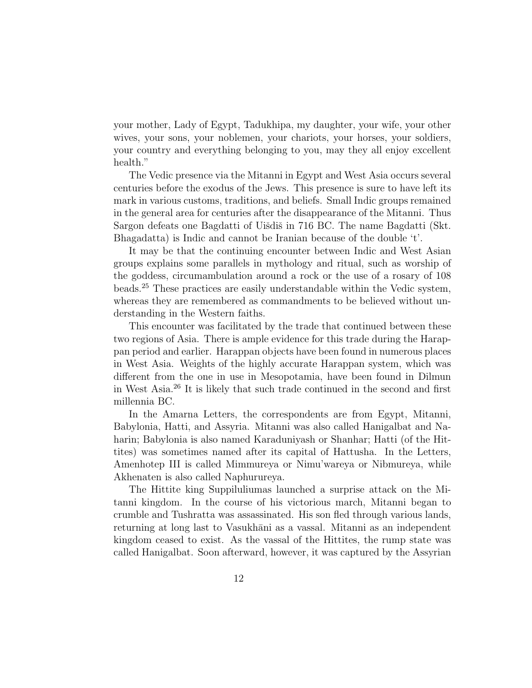your mother, Lady of Egypt, Tadukhipa, my daughter, your wife, your other wives, your sons, your noblemen, your chariots, your horses, your soldiers, your country and everything belonging to you, may they all enjoy excellent health."

The Vedic presence via the Mitanni in Egypt and West Asia occurs several centuries before the exodus of the Jews. This presence is sure to have left its mark in various customs, traditions, and beliefs. Small Indic groups remained in the general area for centuries after the disappearance of the Mitanni. Thus Sargon defeats one Bagdatti of Uišdiš in 716 BC. The name Bagdatti (Skt. Bhagadatta) is Indic and cannot be Iranian because of the double 't'.

It may be that the continuing encounter between Indic and West Asian groups explains some parallels in mythology and ritual, such as worship of the goddess, circumambulation around a rock or the use of a rosary of 108 beads.<sup>25</sup> These practices are easily understandable within the Vedic system, whereas they are remembered as commandments to be believed without understanding in the Western faiths.

This encounter was facilitated by the trade that continued between these two regions of Asia. There is ample evidence for this trade during the Harappan period and earlier. Harappan objects have been found in numerous places in West Asia. Weights of the highly accurate Harappan system, which was different from the one in use in Mesopotamia, have been found in Dilmun in West Asia.<sup>26</sup> It is likely that such trade continued in the second and first millennia BC.

In the Amarna Letters, the correspondents are from Egypt, Mitanni, Babylonia, Hatti, and Assyria. Mitanni was also called Hanigalbat and Naharin; Babylonia is also named Karaduniyash or Shanhar; Hatti (of the Hittites) was sometimes named after its capital of Hattusha. In the Letters, Amenhotep III is called Mimmureya or Nimu'wareya or Nibmureya, while Akhenaten is also called Naphurureya.

The Hittite king Suppiluliumas launched a surprise attack on the Mitanni kingdom. In the course of his victorious march, Mitanni began to crumble and Tushratta was assassinated. His son fled through various lands, returning at long last to Vasukhāni as a vassal. Mitanni as an independent kingdom ceased to exist. As the vassal of the Hittites, the rump state was called Hanigalbat. Soon afterward, however, it was captured by the Assyrian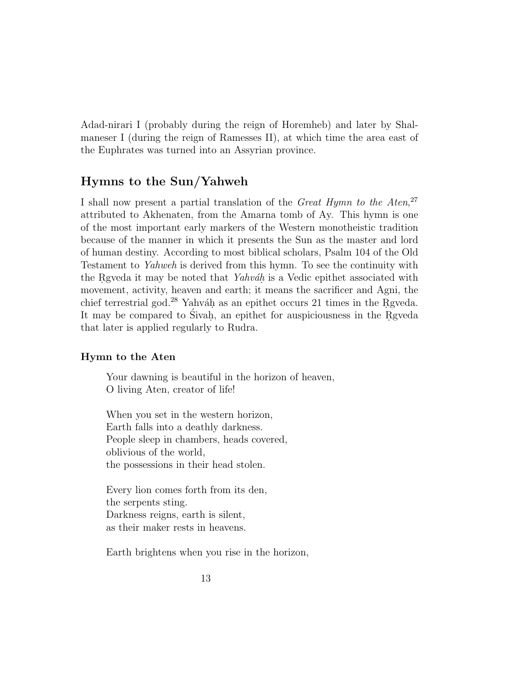Adad-nirari I (probably during the reign of Horemheb) and later by Shalmaneser I (during the reign of Ramesses II), at which time the area east of the Euphrates was turned into an Assyrian province.

# **Hymns to the Sun/Yahweh**

I shall now present a partial translation of the Great Hymn to the Aten,<sup>27</sup> attributed to Akhenaten, from the Amarna tomb of Ay. This hymn is one of the most important early markers of the Western monotheistic tradition because of the manner in which it presents the Sun as the master and lord of human destiny. According to most biblical scholars, Psalm 104 of the Old Testament to Yahweh is derived from this hymn. To see the continuity with the Regular it may be noted that  $Yahv\acute{a}h$  is a Vedic epithet associated with movement, activity, heaven and earth; it means the sacrificer and Agni, the chief terrestrial god.<sup>28</sup> Yahváh as an epithet occurs 21 times in the Rgveda. It may be compared to Sivah, an epithet for auspiciousness in the Rgveda that later is applied regularly to Rudra.

#### **Hymn to the Aten**

Your dawning is beautiful in the horizon of heaven, O living Aten, creator of life!

When you set in the western horizon, Earth falls into a deathly darkness. People sleep in chambers, heads covered, oblivious of the world, the possessions in their head stolen.

Every lion comes forth from its den, the serpents sting. Darkness reigns, earth is silent, as their maker rests in heavens.

Earth brightens when you rise in the horizon,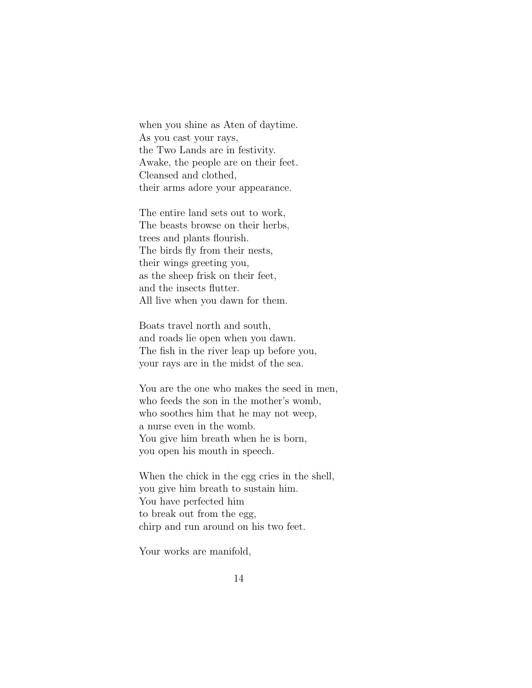when you shine as Aten of daytime. As you cast your rays, the Two Lands are in festivity. Awake, the people are on their feet. Cleansed and clothed, their arms adore your appearance.

The entire land sets out to work, The beasts browse on their herbs, trees and plants flourish. The birds fly from their nests, their wings greeting you, as the sheep frisk on their feet, and the insects flutter. All live when you dawn for them.

Boats travel north and south, and roads lie open when you dawn. The fish in the river leap up before you, your rays are in the midst of the sea.

You are the one who makes the seed in men, who feeds the son in the mother's womb, who soothes him that he may not weep, a nurse even in the womb. You give him breath when he is born, you open his mouth in speech.

When the chick in the egg cries in the shell, you give him breath to sustain him. You have perfected him to break out from the egg, chirp and run around on his two feet.

Your works are manifold,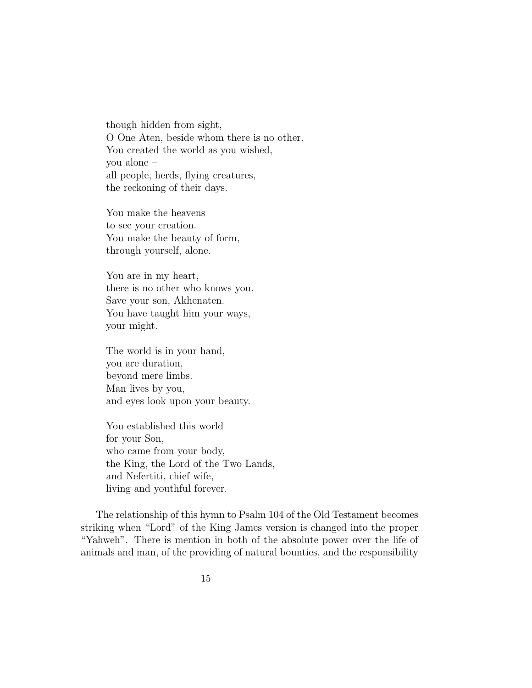though hidden from sight, O One Aten, beside whom there is no other. You created the world as you wished, you alone – all people, herds, flying creatures, the reckoning of their days.

You make the heavens to see your creation. You make the beauty of form, through yourself, alone.

You are in my heart, there is no other who knows you. Save your son, Akhenaten. You have taught him your ways, your might.

The world is in your hand, you are duration, beyond mere limbs. Man lives by you, and eyes look upon your beauty.

You established this world for your Son, who came from your body, the King, the Lord of the Two Lands, and Nefertiti, chief wife, living and youthful forever.

The relationship of this hymn to Psalm 104 of the Old Testament becomes striking when "Lord" of the King James version is changed into the proper "Yahweh". There is mention in both of the absolute power over the life of animals and man, of the providing of natural bounties, and the responsibility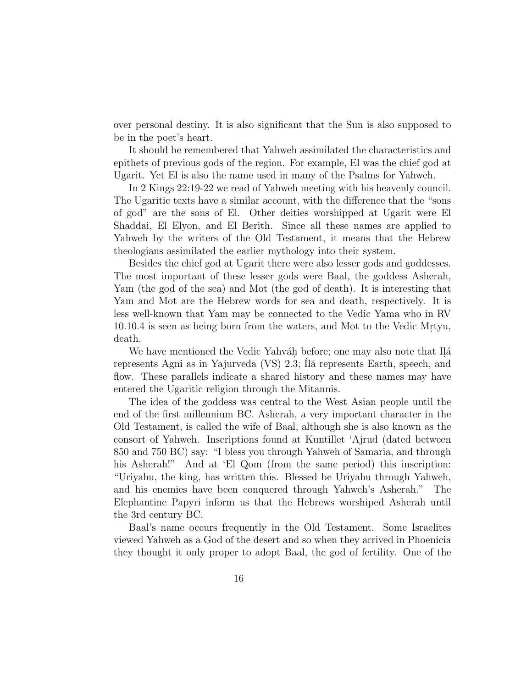over personal destiny. It is also significant that the Sun is also supposed to be in the poet's heart.

It should be remembered that Yahweh assimilated the characteristics and epithets of previous gods of the region. For example, El was the chief god at Ugarit. Yet El is also the name used in many of the Psalms for Yahweh.

In 2 Kings 22:19-22 we read of Yahweh meeting with his heavenly council. The Ugaritic texts have a similar account, with the difference that the "sons of god" are the sons of El. Other deities worshipped at Ugarit were El Shaddai, El Elyon, and El Berith. Since all these names are applied to Yahweh by the writers of the Old Testament, it means that the Hebrew theologians assimilated the earlier mythology into their system.

Besides the chief god at Ugarit there were also lesser gods and goddesses. The most important of these lesser gods were Baal, the goddess Asherah, Yam (the god of the sea) and Mot (the god of death). It is interesting that Yam and Mot are the Hebrew words for sea and death, respectively. It is less well-known that Yam may be connected to the Vedic Yama who in RV 10.10.4 is seen as being born from the waters, and Mot to the Vedic Mrtyu, death.

We have mentioned the Vedic Yahváh before; one may also note that Ilá represents Agni as in Yajurveda  $(VS)$  2.3;  $Il\bar{a}$  represents Earth, speech, and flow. These parallels indicate a shared history and these names may have entered the Ugaritic religion through the Mitannis.

The idea of the goddess was central to the West Asian people until the end of the first millennium BC. Asherah, a very important character in the Old Testament, is called the wife of Baal, although she is also known as the consort of Yahweh. Inscriptions found at Kuntillet 'Ajrud (dated between 850 and 750 BC) say: "I bless you through Yahweh of Samaria, and through his Asherah!" And at 'El Qom (from the same period) this inscription: "Uriyahu, the king, has written this. Blessed be Uriyahu through Yahweh, and his enemies have been conquered through Yahweh's Asherah." The Elephantine Papyri inform us that the Hebrews worshiped Asherah until the 3rd century BC.

Baal's name occurs frequently in the Old Testament. Some Israelites viewed Yahweh as a God of the desert and so when they arrived in Phoenicia they thought it only proper to adopt Baal, the god of fertility. One of the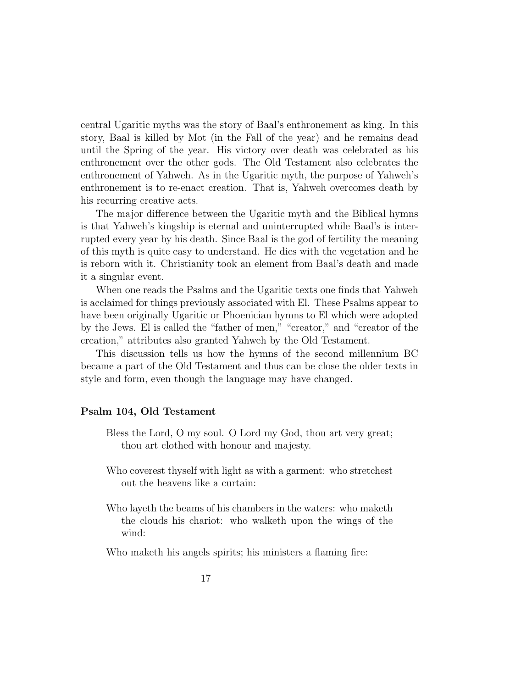central Ugaritic myths was the story of Baal's enthronement as king. In this story, Baal is killed by Mot (in the Fall of the year) and he remains dead until the Spring of the year. His victory over death was celebrated as his enthronement over the other gods. The Old Testament also celebrates the enthronement of Yahweh. As in the Ugaritic myth, the purpose of Yahweh's enthronement is to re-enact creation. That is, Yahweh overcomes death by his recurring creative acts.

The major difference between the Ugaritic myth and the Biblical hymns is that Yahweh's kingship is eternal and uninterrupted while Baal's is interrupted every year by his death. Since Baal is the god of fertility the meaning of this myth is quite easy to understand. He dies with the vegetation and he is reborn with it. Christianity took an element from Baal's death and made it a singular event.

When one reads the Psalms and the Ugaritic texts one finds that Yahweh is acclaimed for things previously associated with El. These Psalms appear to have been originally Ugaritic or Phoenician hymns to El which were adopted by the Jews. El is called the "father of men," "creator," and "creator of the creation," attributes also granted Yahweh by the Old Testament.

This discussion tells us how the hymns of the second millennium BC became a part of the Old Testament and thus can be close the older texts in style and form, even though the language may have changed.

#### **Psalm 104, Old Testament**

- Bless the Lord, O my soul. O Lord my God, thou art very great; thou art clothed with honour and majesty.
- Who coverest thyself with light as with a garment: who stretchest out the heavens like a curtain:
- Who layeth the beams of his chambers in the waters: who maketh the clouds his chariot: who walketh upon the wings of the wind:

Who maketh his angels spirits; his ministers a flaming fire: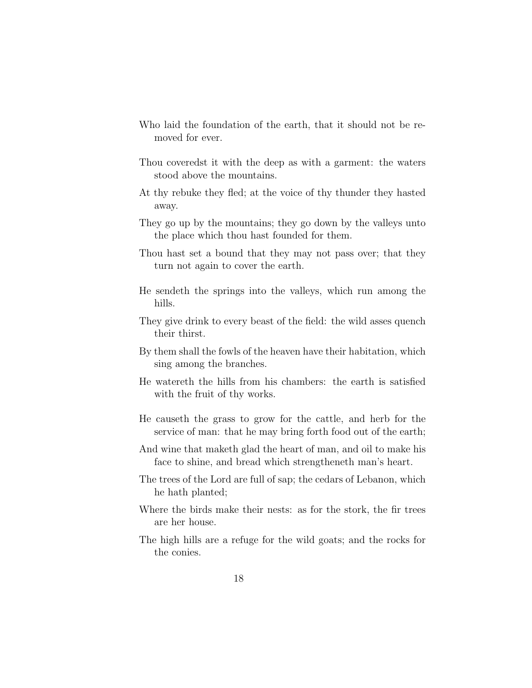- Who laid the foundation of the earth, that it should not be removed for ever.
- Thou coveredst it with the deep as with a garment: the waters stood above the mountains.
- At thy rebuke they fled; at the voice of thy thunder they hasted away.
- They go up by the mountains; they go down by the valleys unto the place which thou hast founded for them.
- Thou hast set a bound that they may not pass over; that they turn not again to cover the earth.
- He sendeth the springs into the valleys, which run among the hills.
- They give drink to every beast of the field: the wild asses quench their thirst.
- By them shall the fowls of the heaven have their habitation, which sing among the branches.
- He watereth the hills from his chambers: the earth is satisfied with the fruit of thy works.
- He causeth the grass to grow for the cattle, and herb for the service of man: that he may bring forth food out of the earth;
- And wine that maketh glad the heart of man, and oil to make his face to shine, and bread which strengtheneth man's heart.
- The trees of the Lord are full of sap; the cedars of Lebanon, which he hath planted;
- Where the birds make their nests: as for the stork, the fir trees are her house.
- The high hills are a refuge for the wild goats; and the rocks for the conies.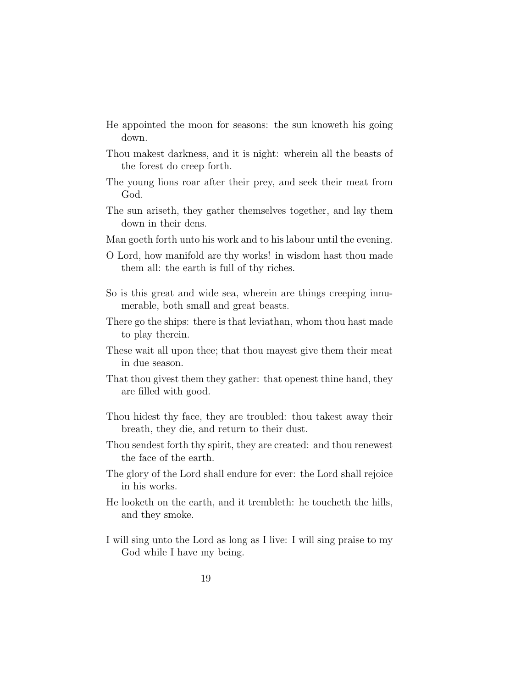- He appointed the moon for seasons: the sun knoweth his going down.
- Thou makest darkness, and it is night: wherein all the beasts of the forest do creep forth.
- The young lions roar after their prey, and seek their meat from God.
- The sun ariseth, they gather themselves together, and lay them down in their dens.
- Man goeth forth unto his work and to his labour until the evening.
- O Lord, how manifold are thy works! in wisdom hast thou made them all: the earth is full of thy riches.
- So is this great and wide sea, wherein are things creeping innumerable, both small and great beasts.
- There go the ships: there is that leviathan, whom thou hast made to play therein.
- These wait all upon thee; that thou mayest give them their meat in due season.
- That thou givest them they gather: that openest thine hand, they are filled with good.
- Thou hidest thy face, they are troubled: thou takest away their breath, they die, and return to their dust.
- Thou sendest forth thy spirit, they are created: and thou renewest the face of the earth.
- The glory of the Lord shall endure for ever: the Lord shall rejoice in his works.
- He looketh on the earth, and it trembleth: he toucheth the hills, and they smoke.
- I will sing unto the Lord as long as I live: I will sing praise to my God while I have my being.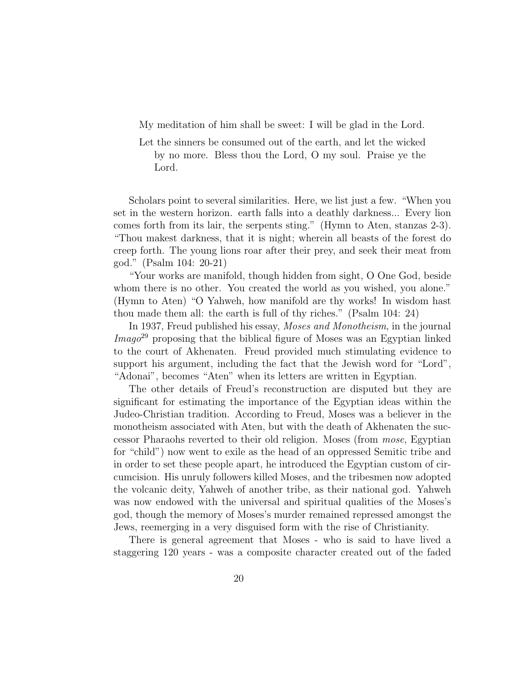My meditation of him shall be sweet: I will be glad in the Lord.

Let the sinners be consumed out of the earth, and let the wicked by no more. Bless thou the Lord, O my soul. Praise ye the Lord.

Scholars point to several similarities. Here, we list just a few. "When you set in the western horizon. earth falls into a deathly darkness... Every lion comes forth from its lair, the serpents sting." (Hymn to Aten, stanzas 2-3). "Thou makest darkness, that it is night; wherein all beasts of the forest do creep forth. The young lions roar after their prey, and seek their meat from god." (Psalm 104: 20-21)

"Your works are manifold, though hidden from sight, O One God, beside whom there is no other. You created the world as you wished, you alone." (Hymn to Aten) "O Yahweh, how manifold are thy works! In wisdom hast thou made them all: the earth is full of thy riches." (Psalm 104: 24)

In 1937, Freud published his essay, Moses and Monotheism, in the journal  $Imago^{29}$  proposing that the biblical figure of Moses was an Egyptian linked to the court of Akhenaten. Freud provided much stimulating evidence to support his argument, including the fact that the Jewish word for "Lord", "Adonai", becomes "Aten" when its letters are written in Egyptian.

The other details of Freud's reconstruction are disputed but they are significant for estimating the importance of the Egyptian ideas within the Judeo-Christian tradition. According to Freud, Moses was a believer in the monotheism associated with Aten, but with the death of Akhenaten the successor Pharaohs reverted to their old religion. Moses (from mose, Egyptian for "child") now went to exile as the head of an oppressed Semitic tribe and in order to set these people apart, he introduced the Egyptian custom of circumcision. His unruly followers killed Moses, and the tribesmen now adopted the volcanic deity, Yahweh of another tribe, as their national god. Yahweh was now endowed with the universal and spiritual qualities of the Moses's god, though the memory of Moses's murder remained repressed amongst the Jews, reemerging in a very disguised form with the rise of Christianity.

There is general agreement that Moses - who is said to have lived a staggering 120 years - was a composite character created out of the faded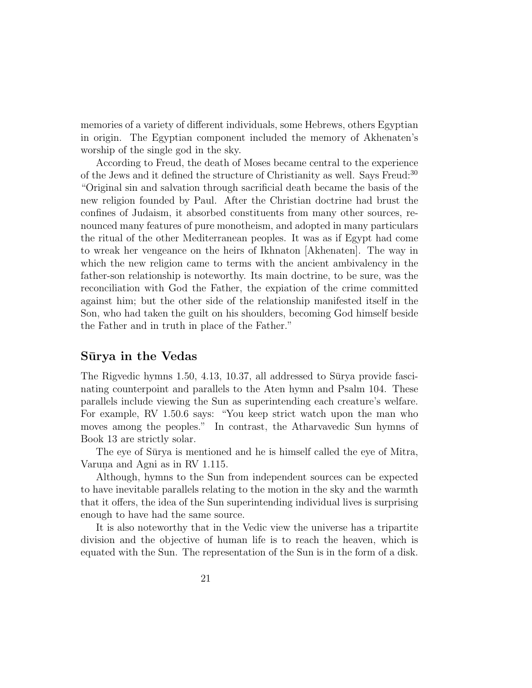memories of a variety of different individuals, some Hebrews, others Egyptian in origin. The Egyptian component included the memory of Akhenaten's worship of the single god in the sky.

According to Freud, the death of Moses became central to the experience of the Jews and it defined the structure of Christianity as well. Says Freud:<sup>30</sup> "Original sin and salvation through sacrificial death became the basis of the new religion founded by Paul. After the Christian doctrine had brust the confines of Judaism, it absorbed constituents from many other sources, renounced many features of pure monotheism, and adopted in many particulars the ritual of the other Mediterranean peoples. It was as if Egypt had come to wreak her vengeance on the heirs of Ikhnaton [Akhenaten]. The way in which the new religion came to terms with the ancient ambivalency in the father-son relationship is noteworthy. Its main doctrine, to be sure, was the reconciliation with God the Father, the expiation of the crime committed against him; but the other side of the relationship manifested itself in the Son, who had taken the guilt on his shoulders, becoming God himself beside the Father and in truth in place of the Father."

#### **S¯urya in the Vedas**

The Rigvedic hymns  $1.50, 4.13, 10.37,$  all addressed to S $\bar{u}$ rya provide fascinating counterpoint and parallels to the Aten hymn and Psalm 104. These parallels include viewing the Sun as superintending each creature's welfare. For example, RV 1.50.6 says: "You keep strict watch upon the man who moves among the peoples." In contrast, the Atharvavedic Sun hymns of Book 13 are strictly solar.

The eye of Surya is mentioned and he is himself called the eye of Mitra, Varuna and Agni as in RV 1.115.

Although, hymns to the Sun from independent sources can be expected to have inevitable parallels relating to the motion in the sky and the warmth that it offers, the idea of the Sun superintending individual lives is surprising enough to have had the same source.

It is also noteworthy that in the Vedic view the universe has a tripartite division and the objective of human life is to reach the heaven, which is equated with the Sun. The representation of the Sun is in the form of a disk.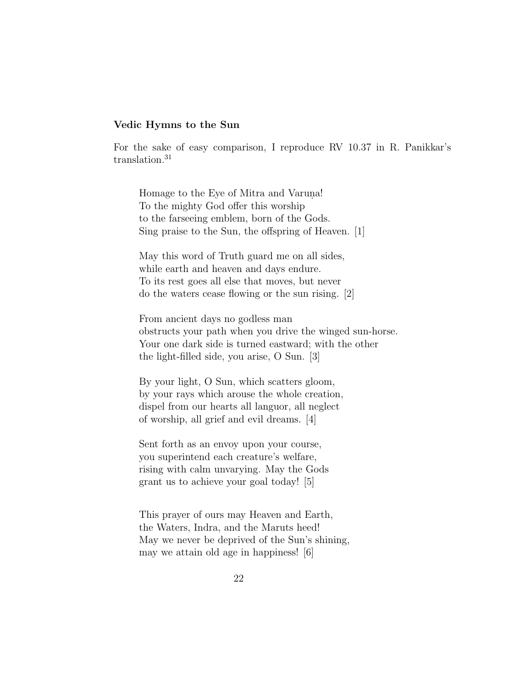#### **Vedic Hymns to the Sun**

For the sake of easy comparison, I reproduce RV 10.37 in R. Panikkar's translation.<sup>31</sup>

Homage to the Eye of Mitra and Varuna! To the mighty God offer this worship to the farseeing emblem, born of the Gods. Sing praise to the Sun, the offspring of Heaven. [1]

May this word of Truth guard me on all sides, while earth and heaven and days endure. To its rest goes all else that moves, but never do the waters cease flowing or the sun rising. [2]

From ancient days no godless man obstructs your path when you drive the winged sun-horse. Your one dark side is turned eastward; with the other the light-filled side, you arise, O Sun. [3]

By your light, O Sun, which scatters gloom, by your rays which arouse the whole creation, dispel from our hearts all languor, all neglect of worship, all grief and evil dreams. [4]

Sent forth as an envoy upon your course, you superintend each creature's welfare, rising with calm unvarying. May the Gods grant us to achieve your goal today! [5]

This prayer of ours may Heaven and Earth, the Waters, Indra, and the Maruts heed! May we never be deprived of the Sun's shining, may we attain old age in happiness! [6]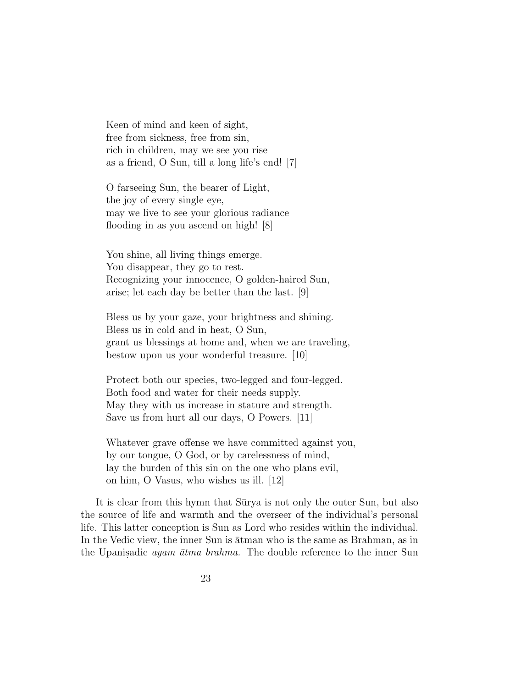Keen of mind and keen of sight, free from sickness, free from sin, rich in children, may we see you rise as a friend, O Sun, till a long life's end! [7]

O farseeing Sun, the bearer of Light, the joy of every single eye, may we live to see your glorious radiance flooding in as you ascend on high! [8]

You shine, all living things emerge. You disappear, they go to rest. Recognizing your innocence, O golden-haired Sun, arise; let each day be better than the last. [9]

Bless us by your gaze, your brightness and shining. Bless us in cold and in heat, O Sun, grant us blessings at home and, when we are traveling, bestow upon us your wonderful treasure. [10]

Protect both our species, two-legged and four-legged. Both food and water for their needs supply. May they with us increase in stature and strength. Save us from hurt all our days, O Powers. [11]

Whatever grave offense we have committed against you, by our tongue, O God, or by carelessness of mind, lay the burden of this sin on the one who plans evil, on him, O Vasus, who wishes us ill. [12]

It is clear from this hymn that Sūrya is not only the outer Sun, but also the source of life and warmth and the overseer of the individual's personal life. This latter conception is Sun as Lord who resides within the individual. In the Vedic view, the inner Sun is  $\overline{a}$ tman who is the same as Brahman, as in the Upanisadic *ayam*  $\bar{a}$ *tma brahma*. The double reference to the inner Sun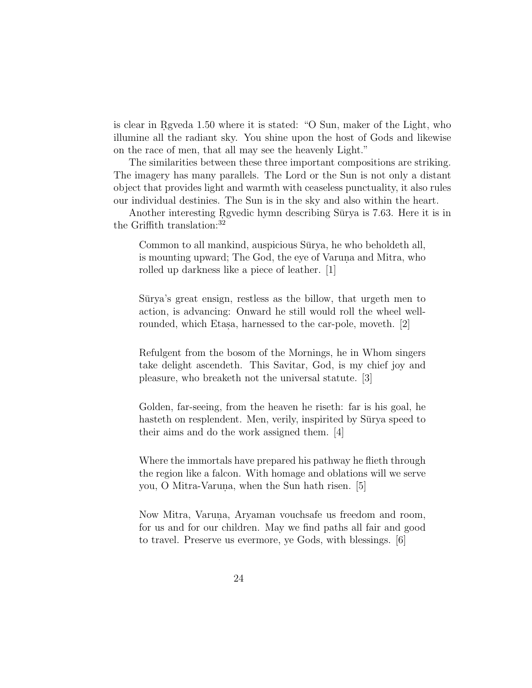is clear in Rgyeda 1.50 where it is stated: "O Sun, maker of the Light, who illumine all the radiant sky. You shine upon the host of Gods and likewise on the race of men, that all may see the heavenly Light."

The similarities between these three important compositions are striking. The imagery has many parallels. The Lord or the Sun is not only a distant object that provides light and warmth with ceaseless punctuality, it also rules our individual destinies. The Sun is in the sky and also within the heart.

Another interesting Rgvedic hymn describing Sūrya is 7.63. Here it is in the Griffith translation:<sup>32</sup>

Common to all mankind, auspicious Sūrya, he who beholdeth all, is mounting upward; The God, the eye of Varuna and Mitra, who rolled up darkness like a piece of leather. [1]

Sūrya's great ensign, restless as the billow, that urgeth men to action, is advancing: Onward he still would roll the wheel wellrounded, which Etasa, harnessed to the car-pole, moveth. [2]

Refulgent from the bosom of the Mornings, he in Whom singers take delight ascendeth. This Savitar, God, is my chief joy and pleasure, who breaketh not the universal statute. [3]

Golden, far-seeing, from the heaven he riseth: far is his goal, he hasteth on resplendent. Men, verily, inspirited by Sūrya speed to their aims and do the work assigned them. [4]

Where the immortals have prepared his pathway he flieth through the region like a falcon. With homage and oblations will we serve you, O Mitra-Varuna, when the Sun hath risen. [5]

Now Mitra, Varuna, Aryaman vouchsafe us freedom and room, for us and for our children. May we find paths all fair and good to travel. Preserve us evermore, ye Gods, with blessings. [6]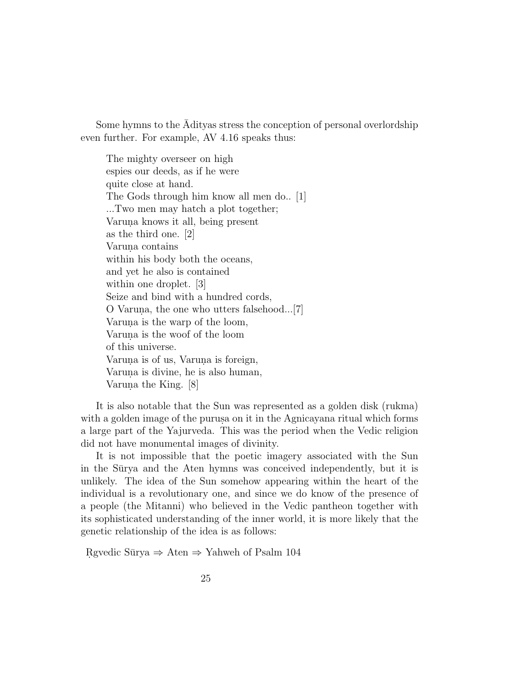Some hymns to the Adityas stress the conception of personal overlordship ¯ even further. For example, AV 4.16 speaks thus:

The mighty overseer on high espies our deeds, as if he were quite close at hand. The Gods through him know all men do.. [1] ...Two men may hatch a plot together; Varuna knows it all, being present as the third one. [2] Varuna contains within his body both the oceans, and yet he also is contained within one droplet. [3] Seize and bind with a hundred cords, O Varuna, the one who utters falsehood...[7] Varuna is the warp of the loom, Varuna is the woof of the loom of this universe. Varuna is of us, Varuna is foreign, Varuna is divine, he is also human, Varuna the King.  $[8]$ 

It is also notable that the Sun was represented as a golden disk (rukma) with a golden image of the purus aon it in the Agnicayana ritual which forms a large part of the Yajurveda. This was the period when the Vedic religion did not have monumental images of divinity.

It is not impossible that the poetic imagery associated with the Sun in the Sūrya and the Aten hymns was conceived independently, but it is unlikely. The idea of the Sun somehow appearing within the heart of the individual is a revolutionary one, and since we do know of the presence of a people (the Mitanni) who believed in the Vedic pantheon together with its sophisticated understanding of the inner world, it is more likely that the genetic relationship of the idea is as follows:

Rgvedic Sūrya  $\Rightarrow$  Aten  $\Rightarrow$  Yahweh of Psalm 104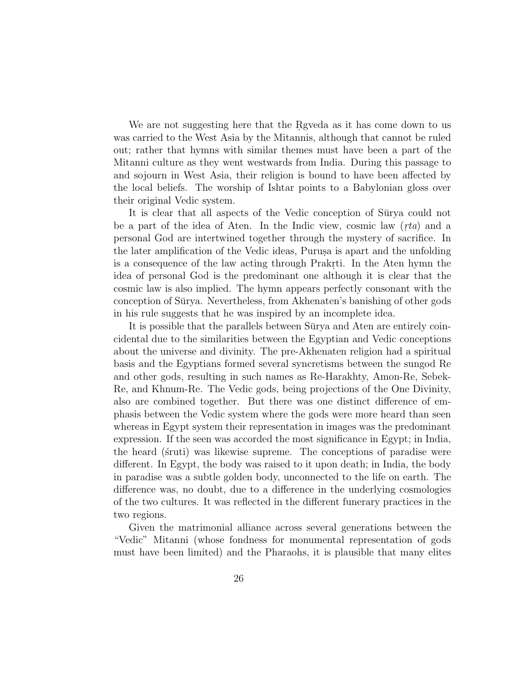We are not suggesting here that the Rgveda as it has come down to us was carried to the West Asia by the Mitannis, although that cannot be ruled out; rather that hymns with similar themes must have been a part of the Mitanni culture as they went westwards from India. During this passage to and sojourn in West Asia, their religion is bound to have been affected by the local beliefs. The worship of Ishtar points to a Babylonian gloss over their original Vedic system.

It is clear that all aspects of the Vedic conception of Surva could not be a part of the idea of Aten. In the Indic view, cosmic law  $(rta)$  and a personal God are intertwined together through the mystery of sacrifice. In the later amplification of the Vedic ideas, Purus is apart and the unfolding is a consequence of the law acting through Prakrti. In the Aten hymn the idea of personal God is the predominant one although it is clear that the cosmic law is also implied. The hymn appears perfectly consonant with the conception of Sūrya. Nevertheless, from Akhenaten's banishing of other gods in his rule suggests that he was inspired by an incomplete idea.

It is possible that the parallels between Surya and Aten are entirely coincidental due to the similarities between the Egyptian and Vedic conceptions about the universe and divinity. The pre-Akhenaten religion had a spiritual basis and the Egyptians formed several syncretisms between the sungod Re and other gods, resulting in such names as Re-Harakhty, Amon-Re, Sebek-Re, and Khnum-Re. The Vedic gods, being projections of the One Divinity, also are combined together. But there was one distinct difference of emphasis between the Vedic system where the gods were more heard than seen whereas in Egypt system their representation in images was the predominant expression. If the seen was accorded the most significance in Egypt; in India, the heard (struti) was likewise supreme. The conceptions of paradise were different. In Egypt, the body was raised to it upon death; in India, the body in paradise was a subtle golden body, unconnected to the life on earth. The difference was, no doubt, due to a difference in the underlying cosmologies of the two cultures. It was reflected in the different funerary practices in the two regions.

Given the matrimonial alliance across several generations between the "Vedic" Mitanni (whose fondness for monumental representation of gods must have been limited) and the Pharaohs, it is plausible that many elites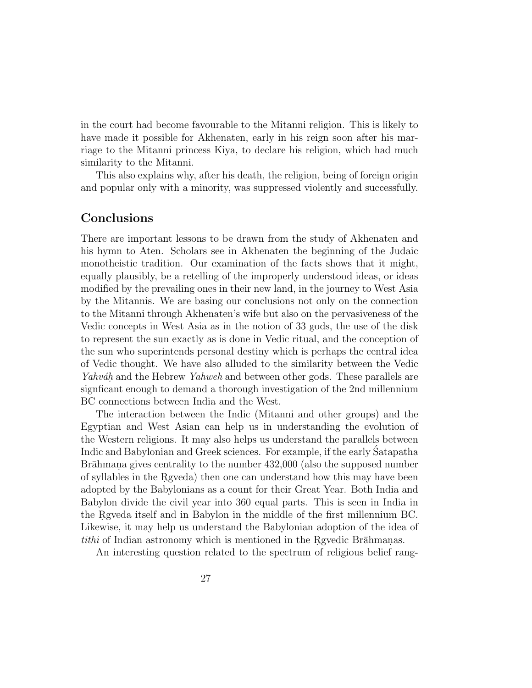in the court had become favourable to the Mitanni religion. This is likely to have made it possible for Akhenaten, early in his reign soon after his marriage to the Mitanni princess Kiya, to declare his religion, which had much similarity to the Mitanni.

This also explains why, after his death, the religion, being of foreign origin and popular only with a minority, was suppressed violently and successfully.

## **Conclusions**

There are important lessons to be drawn from the study of Akhenaten and his hymn to Aten. Scholars see in Akhenaten the beginning of the Judaic monotheistic tradition. Our examination of the facts shows that it might, equally plausibly, be a retelling of the improperly understood ideas, or ideas modified by the prevailing ones in their new land, in the journey to West Asia by the Mitannis. We are basing our conclusions not only on the connection to the Mitanni through Akhenaten's wife but also on the pervasiveness of the Vedic concepts in West Asia as in the notion of 33 gods, the use of the disk to represent the sun exactly as is done in Vedic ritual, and the conception of the sun who superintends personal destiny which is perhaps the central idea of Vedic thought. We have also alluded to the similarity between the Vedic Yahváh and the Hebrew Yahweh and between other gods. These parallels are signficant enough to demand a thorough investigation of the 2nd millennium BC connections between India and the West.

The interaction between the Indic (Mitanni and other groups) and the Egyptian and West Asian can help us in understanding the evolution of the Western religions. It may also helps us understand the parallels between Indic and Babylonian and Greek sciences. For example, if the early Satapatha ´ Brāhmana gives centrality to the number 432,000 (also the supposed number of syllables in the Rgveda) then one can understand how this may have been adopted by the Babylonians as a count for their Great Year. Both India and Babylon divide the civil year into 360 equal parts. This is seen in India in the Regueda itself and in Babylon in the middle of the first millennium BC. Likewise, it may help us understand the Babylonian adoption of the idea of *tithi* of Indian astronomy which is mentioned in the Rgvedic Br $\bar{a}$ hmanas.

An interesting question related to the spectrum of religious belief rang-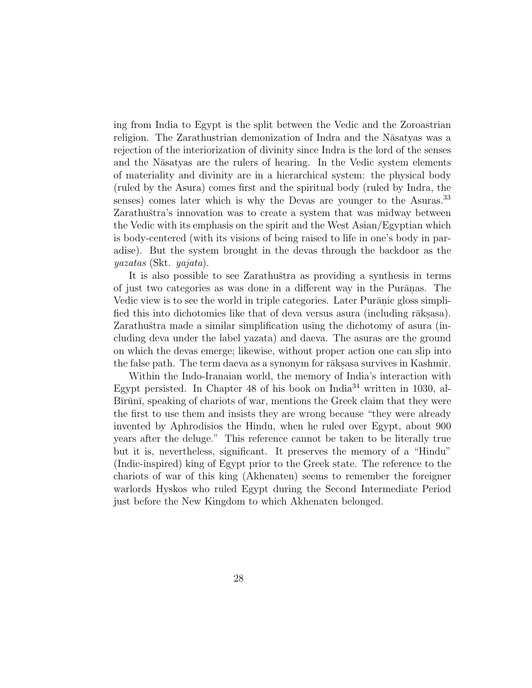ing from India to Egypt is the split between the Vedic and the Zoroastrian religion. The Zarathustrian demonization of Indra and the Nāsatyas was a rejection of the interiorization of divinity since Indra is the lord of the senses and the Nasatyas are the rulers of hearing. In the Vedic system elements of materiality and divinity are in a hierarchical system: the physical body (ruled by the Asura) comes first and the spiritual body (ruled by Indra, the senses) comes later which is why the Devas are younger to the Asuras.<sup>33</sup> Zarathuštra's innovation was to create a system that was midway between the Vedic with its emphasis on the spirit and the West Asian/Egyptian which is body-centered (with its visions of being raised to life in one's body in paradise). But the system brought in the devas through the backdoor as the yazatas (Skt. yajata).

It is also possible to see Zarathuštra as providing a synthesis in terms of just two categories as was done in a different way in the Purānas. The Vedic view is to see the world in triple categories. Later Purānic gloss simplified this into dichotomies like that of deva versus asura (including rāks.asa). Zarathuštra made a similar simplification using the dichotomy of asura (including deva under the label yazata) and daeva. The asuras are the ground on which the devas emerge; likewise, without proper action one can slip into the false path. The term daeva as a synonym for rāks. Survives in Kashmir.

Within the Indo-Iranaian world, the memory of India's interaction with Egypt persisted. In Chapter 48 of his book on India<sup>34</sup> written in 1030, al-Bīrūnī, speaking of chariots of war, mentions the Greek claim that they were the first to use them and insists they are wrong because "they were already invented by Aphrodisios the Hindu, when he ruled over Egypt, about 900 years after the deluge." This reference cannot be taken to be literally true but it is, nevertheless, significant. It preserves the memory of a "Hindu" (Indic-inspired) king of Egypt prior to the Greek state. The reference to the chariots of war of this king (Akhenaten) seems to remember the foreigner warlords Hyskos who ruled Egypt during the Second Intermediate Period just before the New Kingdom to which Akhenaten belonged.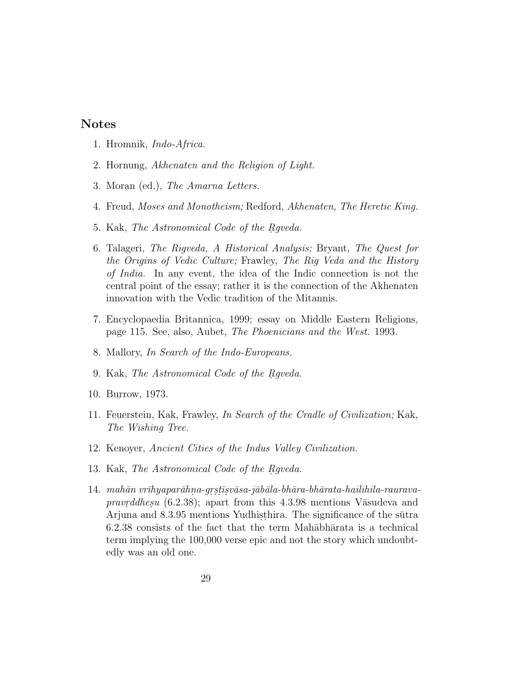# **Notes**

- 1. Hromnik, Indo-Africa.
- 2. Hornung, Akhenaten and the Religion of Light.
- 3. Moran (ed.), The Amarna Letters.
- 4. Freud, Moses and Monotheism; Redford, Akhenaten, The Heretic King.
- 5. Kak, The Astronomical Code of the Rgveda.
- 6. Talageri, The Rigveda, A Historical Analysis; Bryant, The Quest for the Origins of Vedic Culture; Frawley, The Rig Veda and the History of India. In any event, the idea of the Indic connection is not the central point of the essay; rather it is the connection of the Akhenaten innovation with the Vedic tradition of the Mitannis.
- 7. Encyclopaedia Britannica, 1999; essay on Middle Eastern Religions, page 115. See, also, Aubet, The Phoenicians and the West. 1993.
- 8. Mallory, In Search of the Indo-Europeans.
- 9. Kak, The Astronomical Code of the Rgveda.
- 10. Burrow, 1973.
- 11. Feuerstein, Kak, Frawley, In Search of the Cradle of Civilization; Kak, The Wishing Tree.
- 12. Kenoyer, Ancient Cities of the Indus Valley Civilization.
- 13. Kak, The Astronomical Code of the Regueda.
- $14.$  mahān vrī $h$ yaparāhna-grstīsvāsa-jābāla-bhāra-bhārata-hailihila-rauravapravrddhesu  $(6.2.38)$ ; apart from this 4.3.98 mentions V $\bar{a}$ sudeva and Arjuna and 8.3.95 mentions Yudhisthira. The significance of the sūtra  $6.2.38$  consists of the fact that the term Mah $\bar{a}$ bh $\bar{a}$ rata is a technical term implying the 100,000 verse epic and not the story which undoubtedly was an old one.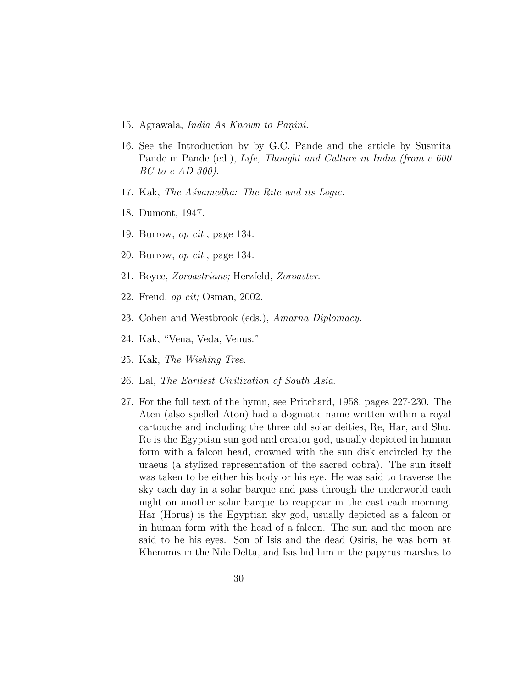- 15. Agrawala, *India As Known to Pānini*.
- 16. See the Introduction by by G.C. Pande and the article by Susmita Pande in Pande (ed.), Life, Thought and Culture in India (from c 600 BC to c AD 300).
- 17. Kak, The Asvamedha: The Rite and its Logic.
- 18. Dumont, 1947.
- 19. Burrow, op cit., page 134.
- 20. Burrow, op cit., page 134.
- 21. Boyce, Zoroastrians; Herzfeld, Zoroaster.
- 22. Freud, op cit; Osman, 2002.
- 23. Cohen and Westbrook (eds.), Amarna Diplomacy.
- 24. Kak, "Vena, Veda, Venus."
- 25. Kak, The Wishing Tree.
- 26. Lal, The Earliest Civilization of South Asia.
- 27. For the full text of the hymn, see Pritchard, 1958, pages 227-230. The Aten (also spelled Aton) had a dogmatic name written within a royal cartouche and including the three old solar deities, Re, Har, and Shu. Re is the Egyptian sun god and creator god, usually depicted in human form with a falcon head, crowned with the sun disk encircled by the uraeus (a stylized representation of the sacred cobra). The sun itself was taken to be either his body or his eye. He was said to traverse the sky each day in a solar barque and pass through the underworld each night on another solar barque to reappear in the east each morning. Har (Horus) is the Egyptian sky god, usually depicted as a falcon or in human form with the head of a falcon. The sun and the moon are said to be his eyes. Son of Isis and the dead Osiris, he was born at Khemmis in the Nile Delta, and Isis hid him in the papyrus marshes to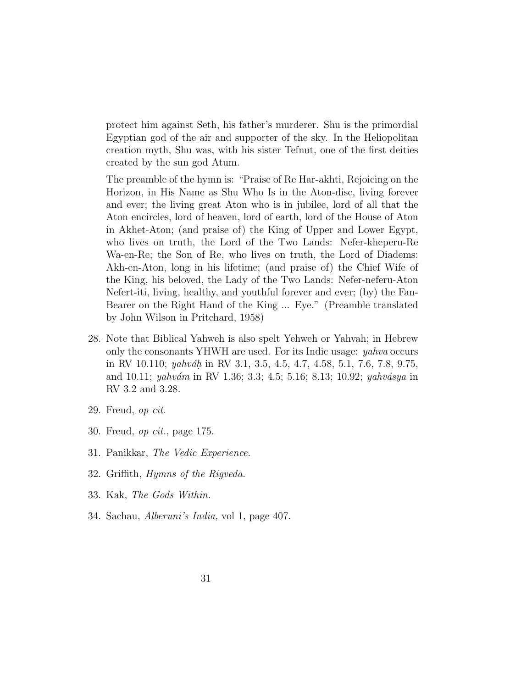protect him against Seth, his father's murderer. Shu is the primordial Egyptian god of the air and supporter of the sky. In the Heliopolitan creation myth, Shu was, with his sister Tefnut, one of the first deities created by the sun god Atum.

The preamble of the hymn is: "Praise of Re Har-akhti, Rejoicing on the Horizon, in His Name as Shu Who Is in the Aton-disc, living forever and ever; the living great Aton who is in jubilee, lord of all that the Aton encircles, lord of heaven, lord of earth, lord of the House of Aton in Akhet-Aton; (and praise of) the King of Upper and Lower Egypt, who lives on truth, the Lord of the Two Lands: Nefer-kheperu-Re Wa-en-Re; the Son of Re, who lives on truth, the Lord of Diadems: Akh-en-Aton, long in his lifetime; (and praise of) the Chief Wife of the King, his beloved, the Lady of the Two Lands: Nefer-neferu-Aton Nefert-iti, living, healthy, and youthful forever and ever; (by) the Fan-Bearer on the Right Hand of the King ... Eye." (Preamble translated by John Wilson in Pritchard, 1958)

- 28. Note that Biblical Yahweh is also spelt Yehweh or Yahvah; in Hebrew only the consonants YHWH are used. For its Indic usage: yahva occurs in RV 10.110; *yahváh* in RV 3.1, 3.5, 4.5, 4.7, 4.58, 5.1, 7.6, 7.8, 9.75, and 10.11; yahvám in RV 1.36; 3.3; 4.5; 5.16; 8.13; 10.92; yahvásya in RV 3.2 and 3.28.
- 29. Freud, op cit.
- 30. Freud, op cit., page 175.
- 31. Panikkar, The Vedic Experience.
- 32. Griffith, Hymns of the Rigveda.
- 33. Kak, The Gods Within.
- 34. Sachau, Alberuni's India, vol 1, page 407.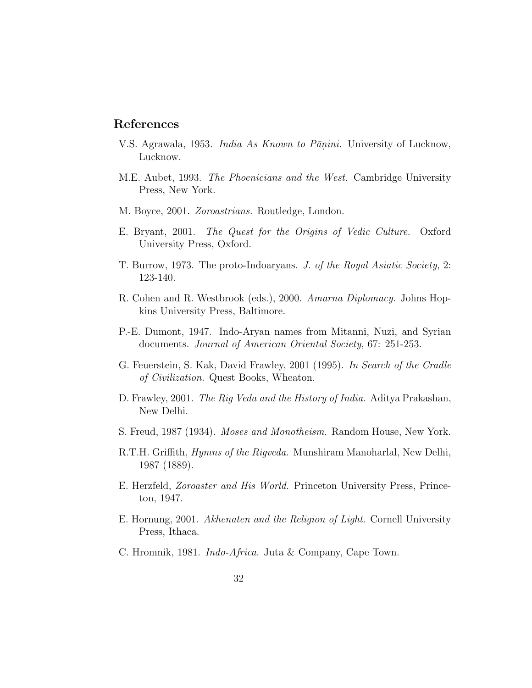# **References**

- V.S. Agrawala, 1953. *India As Known to Pāṇini*. University of Lucknow, Lucknow.
- M.E. Aubet, 1993. The Phoenicians and the West. Cambridge University Press, New York.
- M. Boyce, 2001. Zoroastrians. Routledge, London.
- E. Bryant, 2001. The Quest for the Origins of Vedic Culture. Oxford University Press, Oxford.
- T. Burrow, 1973. The proto-Indoaryans. J. of the Royal Asiatic Society, 2: 123-140.
- R. Cohen and R. Westbrook (eds.), 2000. Amarna Diplomacy. Johns Hopkins University Press, Baltimore.
- P.-E. Dumont, 1947. Indo-Aryan names from Mitanni, Nuzi, and Syrian documents. Journal of American Oriental Society, 67: 251-253.
- G. Feuerstein, S. Kak, David Frawley, 2001 (1995). In Search of the Cradle of Civilization. Quest Books, Wheaton.
- D. Frawley, 2001. *The Rig Veda and the History of India*. Aditya Prakashan, New Delhi.
- S. Freud, 1987 (1934). Moses and Monotheism. Random House, New York.
- R.T.H. Griffith, Hymns of the Rigveda. Munshiram Manoharlal, New Delhi, 1987 (1889).
- E. Herzfeld, Zoroaster and His World. Princeton University Press, Princeton, 1947.
- E. Hornung, 2001. Akhenaten and the Religion of Light. Cornell University Press, Ithaca.
- C. Hromnik, 1981. Indo-Africa. Juta & Company, Cape Town.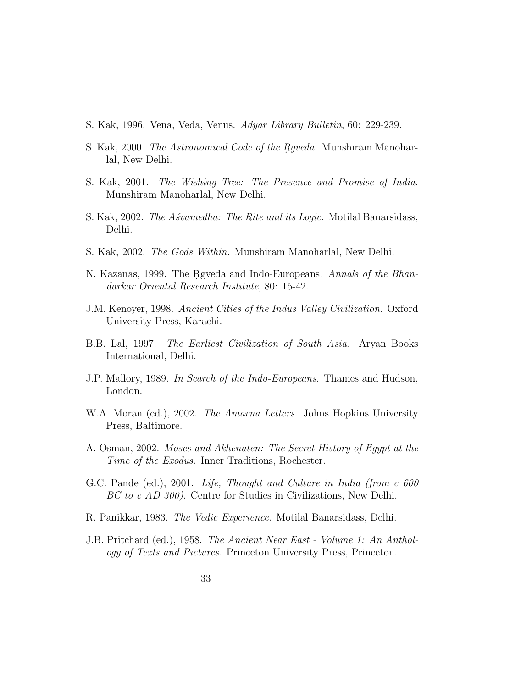- S. Kak, 1996. Vena, Veda, Venus. Adyar Library Bulletin, 60: 229-239.
- S. Kak, 2000. The Astronomical Code of the Rgveda. Munshiram Manoharlal, New Delhi.
- S. Kak, 2001. The Wishing Tree: The Presence and Promise of India. Munshiram Manoharlal, New Delhi.
- S. Kak, 2002. *The Asvamedha: The Rite and its Logic.* Motilal Banarsidass, Delhi.
- S. Kak, 2002. The Gods Within. Munshiram Manoharlal, New Delhi.
- N. Kazanas, 1999. The Rgveda and Indo-Europeans. Annals of the Bhandarkar Oriental Research Institute, 80: 15-42.
- J.M. Kenoyer, 1998. Ancient Cities of the Indus Valley Civilization. Oxford University Press, Karachi.
- B.B. Lal, 1997. The Earliest Civilization of South Asia. Aryan Books International, Delhi.
- J.P. Mallory, 1989. In Search of the Indo-Europeans. Thames and Hudson, London.
- W.A. Moran (ed.), 2002. The Amarna Letters. Johns Hopkins University Press, Baltimore.
- A. Osman, 2002. Moses and Akhenaten: The Secret History of Egypt at the Time of the Exodus. Inner Traditions, Rochester.
- G.C. Pande (ed.), 2001. Life, Thought and Culture in India (from c 600 BC to c AD 300). Centre for Studies in Civilizations, New Delhi.
- R. Panikkar, 1983. The Vedic Experience. Motilal Banarsidass, Delhi.
- J.B. Pritchard (ed.), 1958. The Ancient Near East Volume 1: An Anthology of Texts and Pictures. Princeton University Press, Princeton.